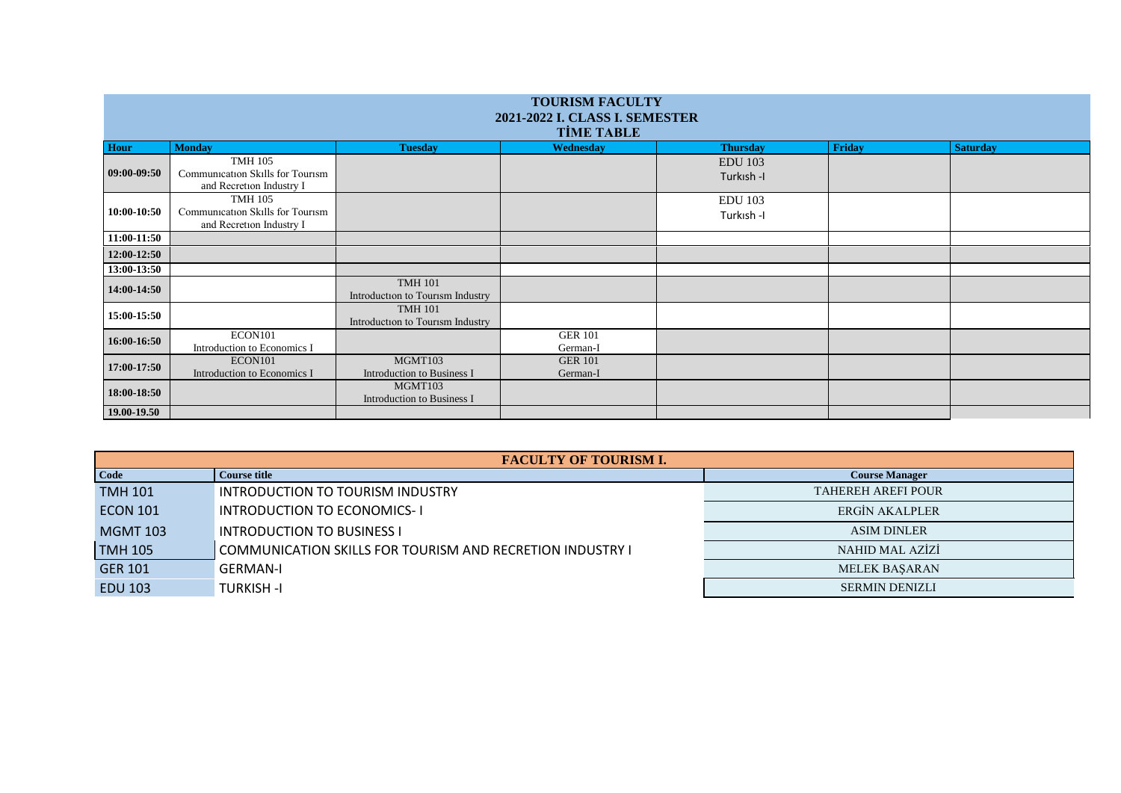| <b>TOURISM FACULTY</b><br>2021-2022 I. CLASS I. SEMESTER<br><b>TİME TABLE</b> |                                                                                |                                                    |                            |                             |        |                 |  |  |
|-------------------------------------------------------------------------------|--------------------------------------------------------------------------------|----------------------------------------------------|----------------------------|-----------------------------|--------|-----------------|--|--|
| <b>Hour</b>                                                                   | <b>Monday</b>                                                                  | <b>Tuesday</b>                                     | Wednesday                  | <b>Thursday</b>             | Friday | <b>Saturday</b> |  |  |
| 09:00-09:50                                                                   | <b>TMH 105</b><br>Communication Skills for Tourism<br>and Recretion Industry I |                                                    |                            | <b>EDU</b> 103<br>Turkish-I |        |                 |  |  |
|                                                                               | <b>TMH 105</b>                                                                 |                                                    |                            | <b>EDU 103</b>              |        |                 |  |  |
| 10:00-10:50                                                                   | Communication Skills for Tourism<br>and Recretion Industry I                   |                                                    |                            | Turkish-I                   |        |                 |  |  |
| 11:00-11:50                                                                   |                                                                                |                                                    |                            |                             |        |                 |  |  |
| 12:00-12:50                                                                   |                                                                                |                                                    |                            |                             |        |                 |  |  |
| 13:00-13:50                                                                   |                                                                                |                                                    |                            |                             |        |                 |  |  |
| 14:00-14:50                                                                   |                                                                                | <b>TMH 101</b><br>Introduction to Tourism Industry |                            |                             |        |                 |  |  |
| 15:00-15:50                                                                   |                                                                                | <b>TMH 101</b><br>Introduction to Tourism Industry |                            |                             |        |                 |  |  |
| 16:00-16:50                                                                   | ECON101                                                                        |                                                    | <b>GER 101</b>             |                             |        |                 |  |  |
|                                                                               | Introduction to Economics I                                                    |                                                    | German-I                   |                             |        |                 |  |  |
| 17:00-17:50                                                                   | ECON101<br>Introduction to Economics I                                         | MGMT103<br><b>Introduction to Business I</b>       | <b>GER 101</b><br>German-I |                             |        |                 |  |  |
| 18:00-18:50                                                                   |                                                                                | MGMT103<br><b>Introduction to Business I</b>       |                            |                             |        |                 |  |  |
| 19.00-19.50                                                                   |                                                                                |                                                    |                            |                             |        |                 |  |  |

| <b>FACULTY OF TOURISM I.</b> |                                                           |                           |  |  |  |
|------------------------------|-----------------------------------------------------------|---------------------------|--|--|--|
| <b>Code</b>                  | Course title                                              | <b>Course Manager</b>     |  |  |  |
| <b>TMH 101</b>               | INTRODUCTION TO TOURISM INDUSTRY                          | <b>TAHEREH AREFI POUR</b> |  |  |  |
| <b>ECON 101</b>              | <b>INTRODUCTION TO ECONOMICS-1</b>                        | ERGIN AKALPLER            |  |  |  |
| <b>MGMT 103</b>              | <b>INTRODUCTION TO BUSINESS I</b>                         | <b>ASIM DINLER</b>        |  |  |  |
| <b>TMH 105</b>               | COMMUNICATION SKILLS FOR TOURISM AND RECRETION INDUSTRY I | <b>NAHID MAL AZİZİ</b>    |  |  |  |
| <b>GER 101</b>               | <b>GERMAN-I</b>                                           | <b>MELEK BASARAN</b>      |  |  |  |
| <b>EDU 103</b>               | TURKISH -I                                                | <b>SERMIN DENIZLI</b>     |  |  |  |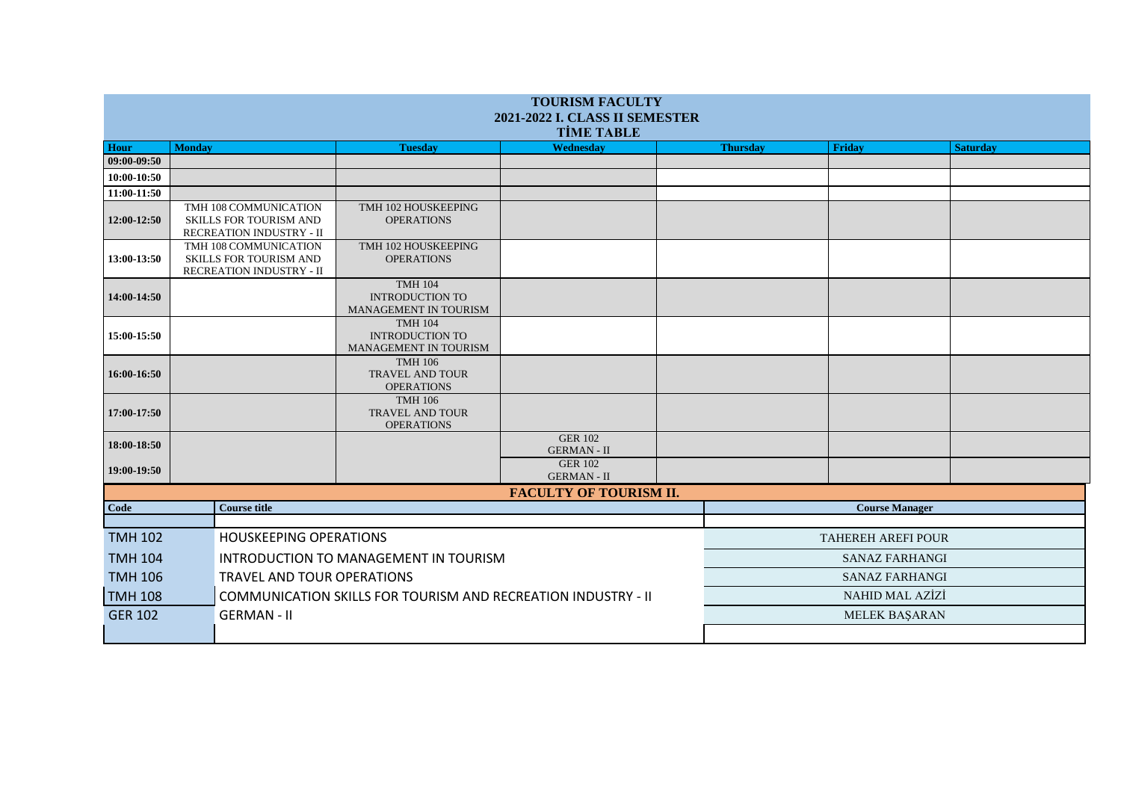| <b>TOURISM FACULTY</b><br><b>2021-2022 I. CLASS II SEMESTER</b> |                                                                                    |  |                                                                   |                                      |                           |                 |               |                 |
|-----------------------------------------------------------------|------------------------------------------------------------------------------------|--|-------------------------------------------------------------------|--------------------------------------|---------------------------|-----------------|---------------|-----------------|
| <b>TİME TABLE</b>                                               |                                                                                    |  |                                                                   |                                      |                           |                 |               |                 |
| <b>Hour</b>                                                     | <b>Monday</b>                                                                      |  | <b>Tuesday</b>                                                    | Wednesdav                            |                           | <b>Thursday</b> | <b>Friday</b> | <b>Saturday</b> |
| 09:00-09:50                                                     |                                                                                    |  |                                                                   |                                      |                           |                 |               |                 |
| 10:00-10:50                                                     |                                                                                    |  |                                                                   |                                      |                           |                 |               |                 |
| 11:00-11:50                                                     |                                                                                    |  |                                                                   |                                      |                           |                 |               |                 |
| 12:00-12:50                                                     | TMH 108 COMMUNICATION<br><b>SKILLS FOR TOURISM AND</b><br>RECREATION INDUSTRY - II |  | TMH 102 HOUSKEEPING<br><b>OPERATIONS</b>                          |                                      |                           |                 |               |                 |
| 13:00-13:50                                                     | TMH 108 COMMUNICATION<br>SKILLS FOR TOURISM AND<br>RECREATION INDUSTRY - II        |  | TMH 102 HOUSKEEPING<br><b>OPERATIONS</b>                          |                                      |                           |                 |               |                 |
| 14:00-14:50                                                     |                                                                                    |  | <b>TMH 104</b><br><b>INTRODUCTION TO</b><br>MANAGEMENT IN TOURISM |                                      |                           |                 |               |                 |
| 15:00-15:50                                                     |                                                                                    |  | <b>TMH 104</b><br><b>INTRODUCTION TO</b><br>MANAGEMENT IN TOURISM |                                      |                           |                 |               |                 |
| 16:00-16:50                                                     |                                                                                    |  | <b>TMH 106</b><br><b>TRAVEL AND TOUR</b><br><b>OPERATIONS</b>     |                                      |                           |                 |               |                 |
| 17:00-17:50                                                     |                                                                                    |  | <b>TMH 106</b><br><b>TRAVEL AND TOUR</b><br><b>OPERATIONS</b>     |                                      |                           |                 |               |                 |
| 18:00-18:50                                                     |                                                                                    |  |                                                                   | <b>GER 102</b><br><b>GERMAN - II</b> |                           |                 |               |                 |
| 19:00-19:50                                                     |                                                                                    |  |                                                                   | <b>GER 102</b><br><b>GERMAN - II</b> |                           |                 |               |                 |
| <b>FACULTY OF TOURISM II.</b>                                   |                                                                                    |  |                                                                   |                                      |                           |                 |               |                 |
| Code                                                            | <b>Course title</b>                                                                |  |                                                                   |                                      | <b>Course Manager</b>     |                 |               |                 |
|                                                                 |                                                                                    |  |                                                                   |                                      |                           |                 |               |                 |
| <b>TMH 102</b>                                                  | <b>HOUSKEEPING OPERATIONS</b>                                                      |  |                                                                   |                                      | <b>TAHEREH AREFI POUR</b> |                 |               |                 |
| <b>TMH 104</b>                                                  | INTRODUCTION TO MANAGEMENT IN TOURISM                                              |  |                                                                   |                                      | <b>SANAZ FARHANGI</b>     |                 |               |                 |
| <b>TMH 106</b>                                                  | TRAVEL AND TOUR OPERATIONS                                                         |  |                                                                   |                                      | <b>SANAZ FARHANGI</b>     |                 |               |                 |
| <b>TMH 108</b>                                                  | COMMUNICATION SKILLS FOR TOURISM AND RECREATION INDUSTRY - II                      |  |                                                                   |                                      | NAHID MAL AZİZİ           |                 |               |                 |
| <b>GER 102</b><br><b>GERMAN - II</b>                            |                                                                                    |  |                                                                   |                                      |                           | MELEK BAŞARAN   |               |                 |
|                                                                 |                                                                                    |  |                                                                   |                                      |                           |                 |               |                 |